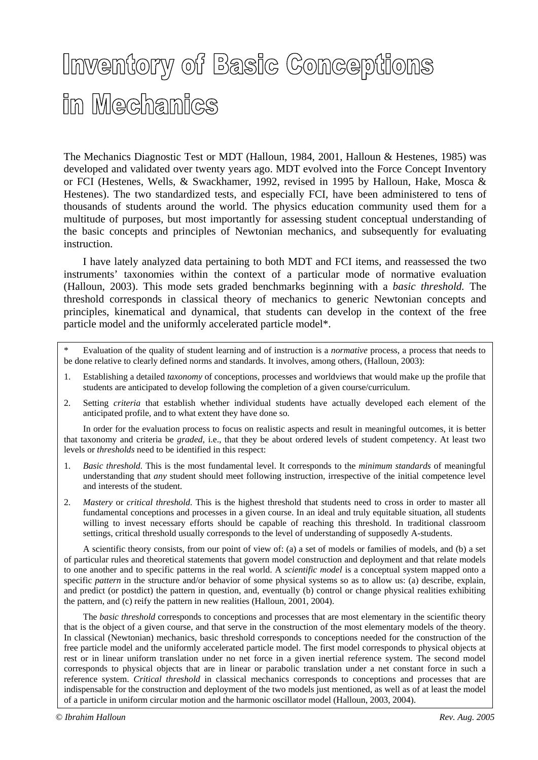## Inventory of Basic Conceptions in Mechanics

The Mechanics Diagnostic Test or MDT (Halloun, 1984, 2001, Halloun & Hestenes, 1985) was developed and validated over twenty years ago. MDT evolved into the Force Concept Inventory or FCI (Hestenes, Wells, & Swackhamer, 1992, revised in 1995 by Halloun, Hake, Mosca & Hestenes). The two standardized tests, and especially FCI, have been administered to tens of thousands of students around the world. The physics education community used them for a multitude of purposes, but most importantly for assessing student conceptual understanding of the basic concepts and principles of Newtonian mechanics, and subsequently for evaluating instruction.

 I have lately analyzed data pertaining to both MDT and FCI items, and reassessed the two instruments' taxonomies within the context of a particular mode of normative evaluation (Halloun, 2003). This mode sets graded benchmarks beginning with a *basic threshold.* The threshold corresponds in classical theory of mechanics to generic Newtonian concepts and principles, kinematical and dynamical, that students can develop in the context of the free particle model and the uniformly accelerated particle model\*.

- \* Evaluation of the quality of student learning and of instruction is a *normative* process, a process that needs to be done relative to clearly defined norms and standards. It involves, among others, (Halloun, 2003):
- 1. Establishing a detailed *taxonomy* of conceptions, processes and worldviews that would make up the profile that students are anticipated to develop following the completion of a given course/curriculum.
- 2. Setting *criteria* that establish whether individual students have actually developed each element of the anticipated profile, and to what extent they have done so.

 In order for the evaluation process to focus on realistic aspects and result in meaningful outcomes, it is better that taxonomy and criteria be *graded*, i.e., that they be about ordered levels of student competency. At least two levels or *thresholds* need to be identified in this respect:

- 1. *Basic threshold*. This is the most fundamental level. It corresponds to the *minimum standards* of meaningful understanding that *any* student should meet following instruction, irrespective of the initial competence level and interests of the student.
- 2. *Mastery* or *critical threshold*. This is the highest threshold that students need to cross in order to master all fundamental conceptions and processes in a given course. In an ideal and truly equitable situation, all students willing to invest necessary efforts should be capable of reaching this threshold. In traditional classroom settings, critical threshold usually corresponds to the level of understanding of supposedly A-students.

 A scientific theory consists, from our point of view of: (a) a set of models or families of models, and (b) a set of particular rules and theoretical statements that govern model construction and deployment and that relate models to one another and to specific patterns in the real world. A *scientific model* is a conceptual system mapped onto a specific *pattern* in the structure and/or behavior of some physical systems so as to allow us: (a) describe, explain, and predict (or postdict) the pattern in question, and, eventually (b) control or change physical realities exhibiting the pattern, and (c) reify the pattern in new realities (Halloun, 2001, 2004).

 The *basic threshold* corresponds to conceptions and processes that are most elementary in the scientific theory that is the object of a given course, and that serve in the construction of the most elementary models of the theory. In classical (Newtonian) mechanics, basic threshold corresponds to conceptions needed for the construction of the free particle model and the uniformly accelerated particle model. The first model corresponds to physical objects at rest or in linear uniform translation under no net force in a given inertial reference system. The second model corresponds to physical objects that are in linear or parabolic translation under a net constant force in such a reference system. *Critical threshold* in classical mechanics corresponds to conceptions and processes that are indispensable for the construction and deployment of the two models just mentioned, as well as of at least the model of a particle in uniform circular motion and the harmonic oscillator model (Halloun, 2003, 2004).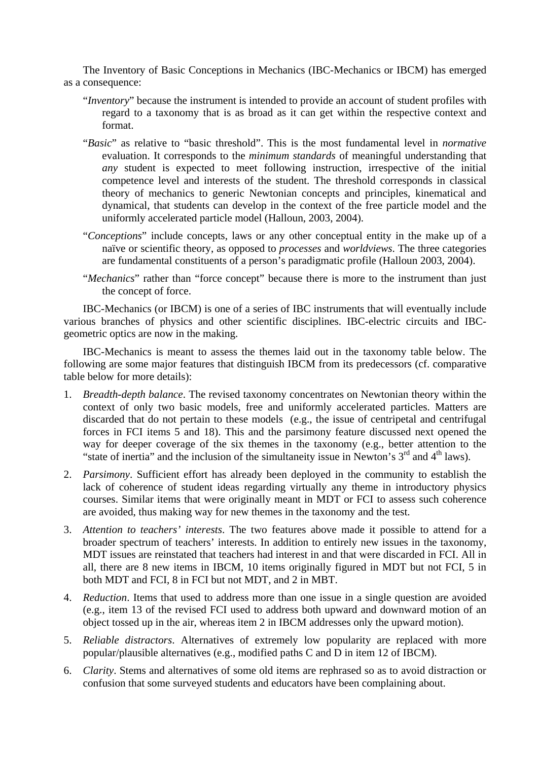The Inventory of Basic Conceptions in Mechanics (IBC-Mechanics or IBCM) has emerged as a consequence:

- "*Inventory*" because the instrument is intended to provide an account of student profiles with regard to a taxonomy that is as broad as it can get within the respective context and format.
- "*Basic*" as relative to "basic threshold". This is the most fundamental level in *normative* evaluation. It corresponds to the *minimum standards* of meaningful understanding that *any* student is expected to meet following instruction, irrespective of the initial competence level and interests of the student. The threshold corresponds in classical theory of mechanics to generic Newtonian concepts and principles, kinematical and dynamical, that students can develop in the context of the free particle model and the uniformly accelerated particle model (Halloun, 2003, 2004).
- "*Conceptions*" include concepts, laws or any other conceptual entity in the make up of a naïve or scientific theory, as opposed to *processes* and *worldviews*. The three categories are fundamental constituents of a person's paradigmatic profile (Halloun 2003, 2004).
- "*Mechanics*" rather than "force concept" because there is more to the instrument than just the concept of force.

 IBC-Mechanics (or IBCM) is one of a series of IBC instruments that will eventually include various branches of physics and other scientific disciplines. IBC-electric circuits and IBCgeometric optics are now in the making.

 IBC-Mechanics is meant to assess the themes laid out in the taxonomy table below. The following are some major features that distinguish IBCM from its predecessors (cf. comparative table below for more details):

- 1. *Breadth-depth balance*. The revised taxonomy concentrates on Newtonian theory within the context of only two basic models, free and uniformly accelerated particles. Matters are discarded that do not pertain to these models (e.g., the issue of centripetal and centrifugal forces in FCI items 5 and 18). This and the parsimony feature discussed next opened the way for deeper coverage of the six themes in the taxonomy (e.g., better attention to the "state of inertia" and the inclusion of the simultaneity issue in Newton's  $3<sup>rd</sup>$  and  $4<sup>th</sup>$  laws).
- 2. *Parsimony*. Sufficient effort has already been deployed in the community to establish the lack of coherence of student ideas regarding virtually any theme in introductory physics courses. Similar items that were originally meant in MDT or FCI to assess such coherence are avoided, thus making way for new themes in the taxonomy and the test.
- 3. *Attention to teachers' interests*. The two features above made it possible to attend for a broader spectrum of teachers' interests. In addition to entirely new issues in the taxonomy, MDT issues are reinstated that teachers had interest in and that were discarded in FCI. All in all, there are 8 new items in IBCM, 10 items originally figured in MDT but not FCI, 5 in both MDT and FCI, 8 in FCI but not MDT, and 2 in MBT.
- 4. *Reduction*. Items that used to address more than one issue in a single question are avoided (e.g., item 13 of the revised FCI used to address both upward and downward motion of an object tossed up in the air, whereas item 2 in IBCM addresses only the upward motion).
- 5. *Reliable distractors*. Alternatives of extremely low popularity are replaced with more popular/plausible alternatives (e.g., modified paths C and D in item 12 of IBCM).
- 6. *Clarity*. Stems and alternatives of some old items are rephrased so as to avoid distraction or confusion that some surveyed students and educators have been complaining about.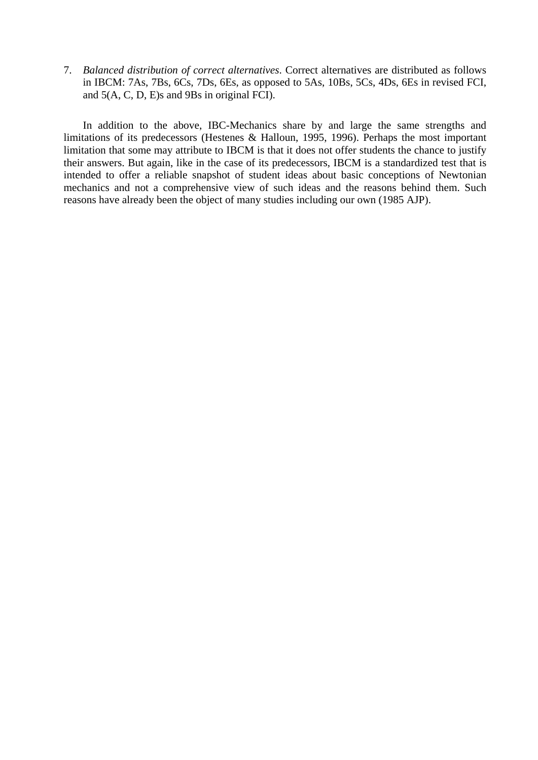7. *Balanced distribution of correct alternatives*. Correct alternatives are distributed as follows in IBCM: 7As, 7Bs, 6Cs, 7Ds, 6Es, as opposed to 5As, 10Bs, 5Cs, 4Ds, 6Es in revised FCI, and 5(A, C, D, E)s and 9Bs in original FCI).

 In addition to the above, IBC-Mechanics share by and large the same strengths and limitations of its predecessors (Hestenes & Halloun, 1995, 1996). Perhaps the most important limitation that some may attribute to IBCM is that it does not offer students the chance to justify their answers. But again, like in the case of its predecessors, IBCM is a standardized test that is intended to offer a reliable snapshot of student ideas about basic conceptions of Newtonian mechanics and not a comprehensive view of such ideas and the reasons behind them. Such reasons have already been the object of many studies including our own (1985 AJP).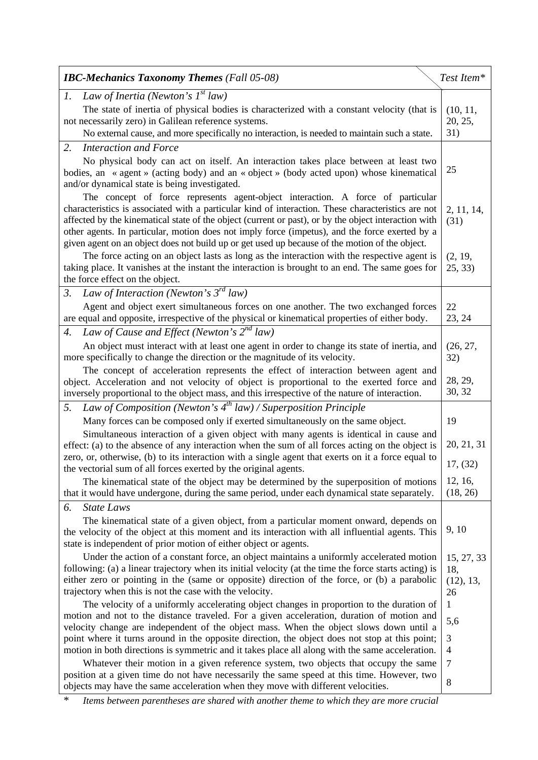| <b>IBC-Mechanics Taxonomy Themes</b> (Fall 05-08)                                                                                                                                                                                                                                                                                                                                                                                                                                                 | Test Item*      |  |  |
|---------------------------------------------------------------------------------------------------------------------------------------------------------------------------------------------------------------------------------------------------------------------------------------------------------------------------------------------------------------------------------------------------------------------------------------------------------------------------------------------------|-----------------|--|--|
| Law of Inertia (Newton's $I^{st}$ law)<br>1.                                                                                                                                                                                                                                                                                                                                                                                                                                                      |                 |  |  |
| The state of inertia of physical bodies is characterized with a constant velocity (that is                                                                                                                                                                                                                                                                                                                                                                                                        |                 |  |  |
| not necessarily zero) in Galilean reference systems.<br>No external cause, and more specifically no interaction, is needed to maintain such a state.                                                                                                                                                                                                                                                                                                                                              | 20, 25,<br>31)  |  |  |
| 2.                                                                                                                                                                                                                                                                                                                                                                                                                                                                                                |                 |  |  |
| <b>Interaction and Force</b>                                                                                                                                                                                                                                                                                                                                                                                                                                                                      |                 |  |  |
| No physical body can act on itself. An interaction takes place between at least two<br>bodies, an « agent » (acting body) and an « object » (body acted upon) whose kinematical<br>and/or dynamical state is being investigated.                                                                                                                                                                                                                                                                  |                 |  |  |
| The concept of force represents agent-object interaction. A force of particular<br>characteristics is associated with a particular kind of interaction. These characteristics are not<br>affected by the kinematical state of the object (current or past), or by the object interaction with<br>other agents. In particular, motion does not imply force (impetus), and the force exerted by a<br>given agent on an object does not build up or get used up because of the motion of the object. |                 |  |  |
| The force acting on an object lasts as long as the interaction with the respective agent is<br>taking place. It vanishes at the instant the interaction is brought to an end. The same goes for<br>the force effect on the object.                                                                                                                                                                                                                                                                |                 |  |  |
| Law of Interaction (Newton's $3^{rd}$ law)<br>$\mathfrak{Z}$ .                                                                                                                                                                                                                                                                                                                                                                                                                                    |                 |  |  |
| Agent and object exert simultaneous forces on one another. The two exchanged forces<br>are equal and opposite, irrespective of the physical or kinematical properties of either body.                                                                                                                                                                                                                                                                                                             | 22<br>23, 24    |  |  |
| Law of Cause and Effect (Newton's $2^{nd}$ law)<br>4.                                                                                                                                                                                                                                                                                                                                                                                                                                             |                 |  |  |
| An object must interact with at least one agent in order to change its state of inertia, and<br>more specifically to change the direction or the magnitude of its velocity.                                                                                                                                                                                                                                                                                                                       | (26, 27,<br>32) |  |  |
| The concept of acceleration represents the effect of interaction between agent and<br>object. Acceleration and not velocity of object is proportional to the exerted force and<br>inversely proportional to the object mass, and this irrespective of the nature of interaction.                                                                                                                                                                                                                  |                 |  |  |
| Law of Composition (Newton's $4^{th}$ law) / Superposition Principle<br>5.                                                                                                                                                                                                                                                                                                                                                                                                                        |                 |  |  |
| Many forces can be composed only if exerted simultaneously on the same object.                                                                                                                                                                                                                                                                                                                                                                                                                    | 19              |  |  |
| Simultaneous interaction of a given object with many agents is identical in cause and<br>effect: (a) to the absence of any interaction when the sum of all forces acting on the object is                                                                                                                                                                                                                                                                                                         |                 |  |  |
| zero, or, otherwise, (b) to its interaction with a single agent that exerts on it a force equal to<br>the vectorial sum of all forces exerted by the original agents.                                                                                                                                                                                                                                                                                                                             |                 |  |  |
| The kinematical state of the object may be determined by the superposition of motions                                                                                                                                                                                                                                                                                                                                                                                                             | 12, 16,         |  |  |
| that it would have undergone, during the same period, under each dynamical state separately.                                                                                                                                                                                                                                                                                                                                                                                                      | (18, 26)        |  |  |
| <b>State Laws</b><br>6.                                                                                                                                                                                                                                                                                                                                                                                                                                                                           |                 |  |  |
| The kinematical state of a given object, from a particular moment onward, depends on<br>the velocity of the object at this moment and its interaction with all influential agents. This<br>state is independent of prior motion of either object or agents.                                                                                                                                                                                                                                       | 9, 10           |  |  |
| Under the action of a constant force, an object maintains a uniformly accelerated motion<br>following: (a) a linear trajectory when its initial velocity (at the time the force starts acting) is<br>either zero or pointing in the (same or opposite) direction of the force, or (b) a parabolic                                                                                                                                                                                                 |                 |  |  |
| (12), 13,<br>trajectory when this is not the case with the velocity.<br>26                                                                                                                                                                                                                                                                                                                                                                                                                        |                 |  |  |
| The velocity of a uniformly accelerating object changes in proportion to the duration of<br>motion and not to the distance traveled. For a given acceleration, duration of motion and                                                                                                                                                                                                                                                                                                             |                 |  |  |
| velocity change are independent of the object mass. When the object slows down until a                                                                                                                                                                                                                                                                                                                                                                                                            |                 |  |  |
| point where it turns around in the opposite direction, the object does not stop at this point;<br>motion in both directions is symmetric and it takes place all along with the same acceleration.                                                                                                                                                                                                                                                                                                 |                 |  |  |
| Whatever their motion in a given reference system, two objects that occupy the same                                                                                                                                                                                                                                                                                                                                                                                                               |                 |  |  |
| position at a given time do not have necessarily the same speed at this time. However, two<br>objects may have the same acceleration when they move with different velocities.                                                                                                                                                                                                                                                                                                                    |                 |  |  |

\* *Items between parentheses are shared with another theme to which they are more crucial*